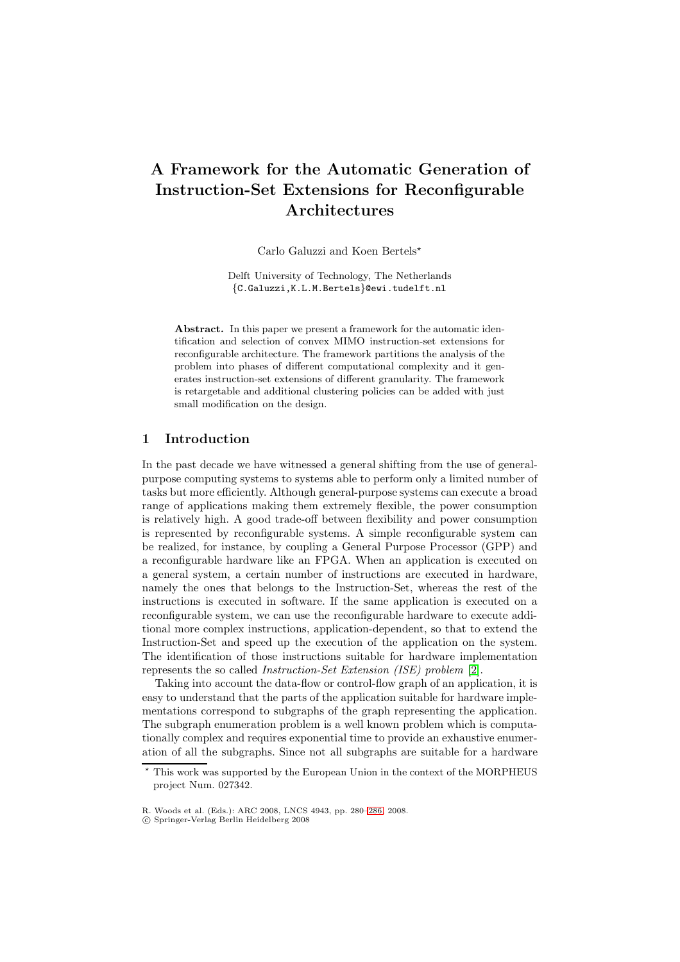# **A Framework for the Automatic Generation of Instruction-Set Extensions for Reconfigurable Architectures**

Carlo Galuzzi and Koen Bertels-

Delft University of Technology, The Netherlands {C.Galuzzi,K.L.M.Bertels}@ewi.tudelft.nl

**Abstract.** In this paper we present a framework for the automatic identification and selection of convex MIMO instruction-set extensions for reconfigurable architecture. The framework partitions the analysis of the problem into phases of different computational complexity and it generates instruction-set extensions of different granularity. The framework is retargetable and additional clustering policies can be added with just small modification on the design.

## **1 Introduction**

In the past decade we have witnessed a general shifting from the use of generalpurpose computing systems to systems able to perform only a limited number of tasks but more efficiently. Although general-purpose systems can execute a broad range of applications making them extremely flexible, the power consumption is relatively high. A good trade-off between flexibility and power consumption is represented by reconfigurable systems. A simple reconfigurable system can be realized, for instance, by coupling a General Purpose Processor (GPP) and a reconfigurable hardware like an FPGA. When an application is executed on a general system, a certain number of instructions are executed in hardware, namely the ones that belongs to the Instruction-Set, whereas the rest of the instructions is executed in software. If the same application is executed on a reconfigurable system, we can use the reconfigurable hardware to execute additional more complex instructions, application-dependent, so that to extend the Instruction-Set and speed up the execution of the application on the system. The identification of those instructions suitable for hardware implementation represents the so called Instruction-Set Extension (ISE) problem [\[2\]](#page-5-0).

Taking into account the data-flow or control-flow graph of an application, it is easy to understand that the parts of the application suitable for hardware implementations correspond to subgraphs of the graph representing the application. The subgraph enumeration problem is a well known problem which is computationally complex and requires exponential time to provide an exhaustive enumeration of all the subgraphs. Since not all subgraphs are suitable for a hardware

 $\star$  This work was supported by the European Union in the context of the MORPHEUS project Num. 027342.

R. Woods et al. (Eds.): ARC 2008, LNCS 4943, pp. 280[–286,](#page-5-1) 2008.

<sup>-</sup>c Springer-Verlag Berlin Heidelberg 2008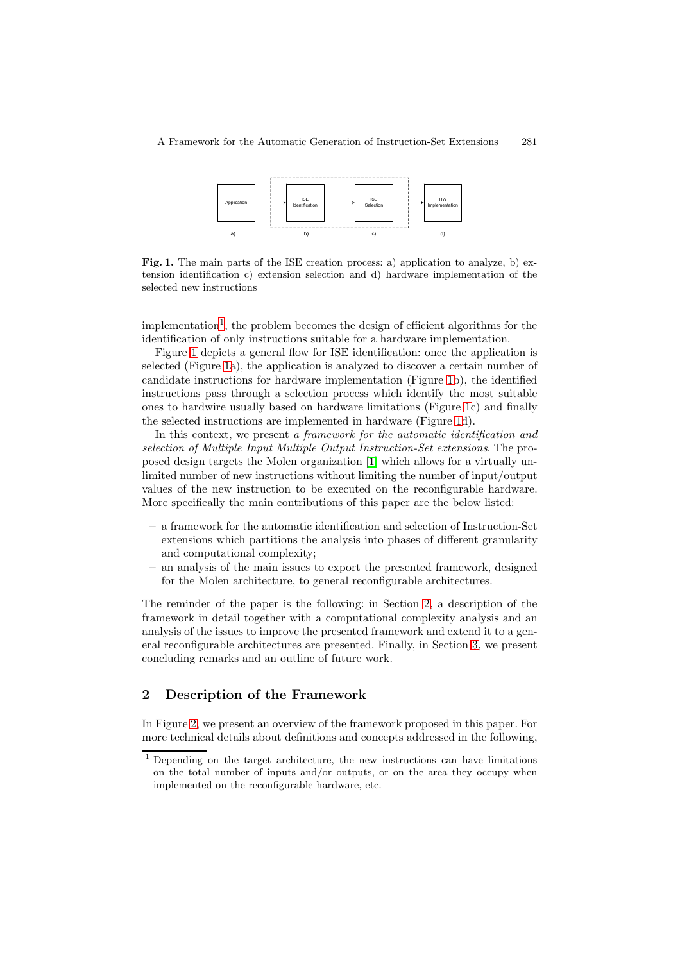

<span id="page-1-1"></span>Fig. 1. The main parts of the ISE creation process: a) application to analyze, b) extension identification c) extension selection and d) hardware implementation of the selected new instructions

implementation<sup>[1](#page-1-0)</sup>, the problem becomes the design of efficient algorithms for the identification of only instructions suitable for a hardware implementation.

Figure [1](#page-1-1) depicts a general flow for ISE identification: once the application is selected (Figure [1a](#page-1-1)), the application is analyzed to discover a certain number of candidate instructions for hardware implementation (Figure [1b](#page-1-1)), the identified instructions pass through a selection process which identify the most suitable ones to hardwire usually based on hardware limitations (Figure [1c](#page-1-1)) and finally the selected instructions are implemented in hardware (Figure [1d](#page-1-1)).

In this context, we present a framework for the automatic identification and selection of Multiple Input Multiple Output Instruction-Set extensions. The proposed design targets the Molen organization [\[1\]](#page-5-2) which allows for a virtually unlimited number of new instructions without limiting the number of input/output values of the new instruction to be executed on the reconfigurable hardware. More specifically the main contributions of this paper are the below listed:

- **–** a framework for the automatic identification and selection of Instruction-Set extensions which partitions the analysis into phases of different granularity and computational complexity;
- **–** an analysis of the main issues to export the presented framework, designed for the Molen architecture, to general reconfigurable architectures.

The reminder of the paper is the following: in Section [2,](#page-1-2) a description of the framework in detail together with a computational complexity analysis and an analysis of the issues to improve the presented framework and extend it to a general reconfigurable architectures are presented. Finally, in Section [3,](#page-5-3) we present concluding remarks and an outline of future work.

# <span id="page-1-2"></span>**2 Description of the Framework**

In Figure [2,](#page-2-0) we present an overview of the framework proposed in this paper. For more technical details about definitions and concepts addressed in the following,

<span id="page-1-0"></span><sup>&</sup>lt;sup>1</sup> Depending on the target architecture, the new instructions can have limitations on the total number of inputs and/or outputs, or on the area they occupy when implemented on the reconfigurable hardware, etc.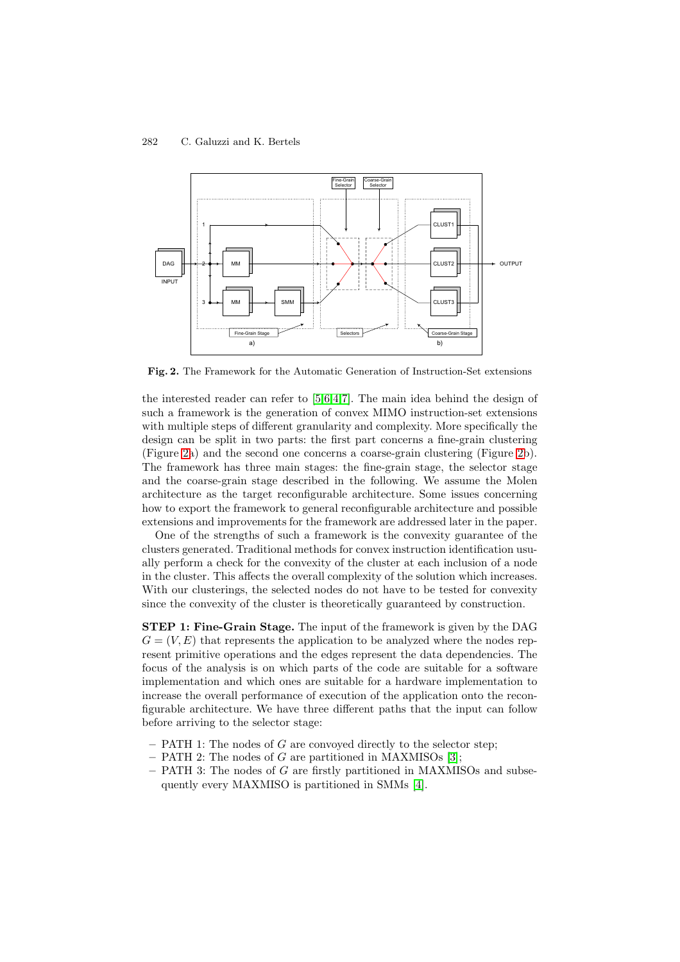

**Fig. 2.** The Framework for the Automatic Generation of Instruction-Set extensions

<span id="page-2-0"></span>the interested reader can refer to [\[5,](#page-6-0)[6](#page-6-1)[,4](#page-5-4)[,7\]](#page-6-2). The main idea behind the design of such a framework is the generation of convex MIMO instruction-set extensions with multiple steps of different granularity and complexity. More specifically the design can be split in two parts: the first part concerns a fine-grain clustering (Figure [2a](#page-2-0)) and the second one concerns a coarse-grain clustering (Figure [2b](#page-2-0)). The framework has three main stages: the fine-grain stage, the selector stage and the coarse-grain stage described in the following. We assume the Molen architecture as the target reconfigurable architecture. Some issues concerning how to export the framework to general reconfigurable architecture and possible extensions and improvements for the framework are addressed later in the paper.

One of the strengths of such a framework is the convexity guarantee of the clusters generated. Traditional methods for convex instruction identification usually perform a check for the convexity of the cluster at each inclusion of a node in the cluster. This affects the overall complexity of the solution which increases. With our clusterings, the selected nodes do not have to be tested for convexity since the convexity of the cluster is theoretically guaranteed by construction.

**STEP 1: Fine-Grain Stage.** The input of the framework is given by the DAG  $G = (V, E)$  that represents the application to be analyzed where the nodes represent primitive operations and the edges represent the data dependencies. The focus of the analysis is on which parts of the code are suitable for a software implementation and which ones are suitable for a hardware implementation to increase the overall performance of execution of the application onto the reconfigurable architecture. We have three different paths that the input can follow before arriving to the selector stage:

- **–** PATH 1: The nodes of G are convoyed directly to the selector step;
- **–** PATH 2: The nodes of G are partitioned in MAXMISOs [\[3\]](#page-5-5);
- **–** PATH 3: The nodes of G are firstly partitioned in MAXMISOs and subsequently every MAXMISO is partitioned in SMMs [\[4\]](#page-5-4).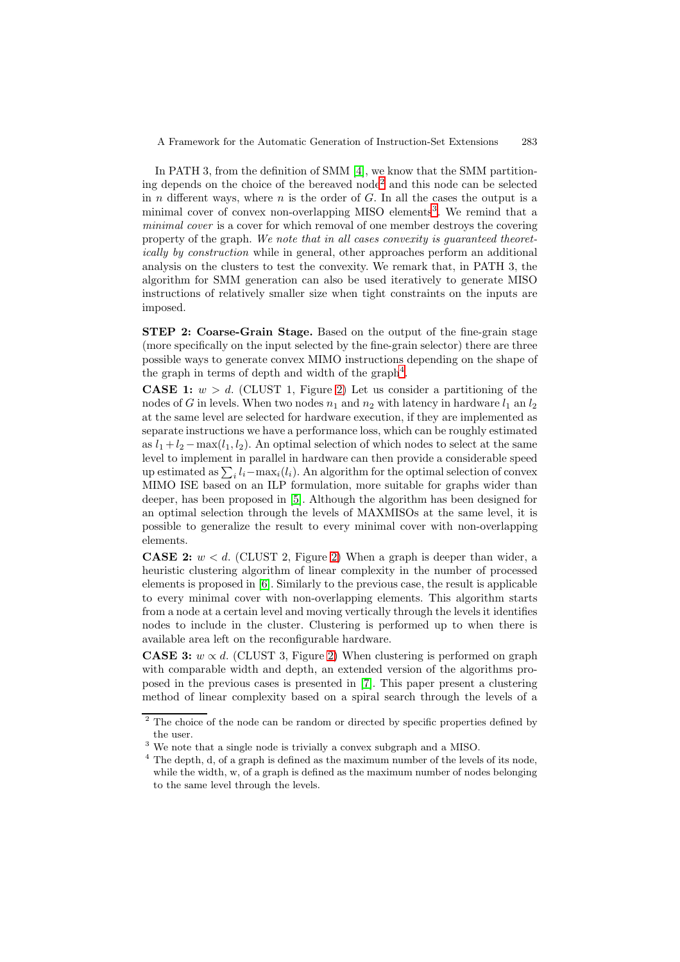In PATH 3, from the definition of SMM [\[4\]](#page-5-4), we know that the SMM partitioning depends on the choice of the bereaved node[2](#page-3-0) and this node can be selected in n different ways, where  $n$  is the order of  $G$ . In all the cases the output is a minimal cover of convex non-overlapping MISO elements<sup>[3](#page-3-1)</sup>. We remind that a minimal cover is a cover for which removal of one member destroys the covering property of the graph. We note that in all cases convexity is guaranteed theoretically by construction while in general, other approaches perform an additional analysis on the clusters to test the convexity. We remark that, in PATH 3, the algorithm for SMM generation can also be used iteratively to generate MISO instructions of relatively smaller size when tight constraints on the inputs are imposed.

**STEP 2: Coarse-Grain Stage.** Based on the output of the fine-grain stage (more specifically on the input selected by the fine-grain selector) there are three possible ways to generate convex MIMO instructions depending on the shape of the graph in terms of depth and width of the graph<sup>[4](#page-3-2)</sup>.

**CASE 1:**  $w > d$ . (CLUST 1, Figure [2\)](#page-2-0) Let us consider a partitioning of the nodes of G in levels. When two nodes  $n_1$  and  $n_2$  with latency in hardware  $l_1$  an  $l_2$ at the same level are selected for hardware execution, if they are implemented as separate instructions we have a performance loss, which can be roughly estimated as  $l_1 + l_2 - \max(l_1, l_2)$ . An optimal selection of which nodes to select at the same level to implement in parallel in hardware can then provide a considerable speed up estimated as  $\sum_i l_i - \max_i(l_i)$ . An algorithm for the optimal selection of convex MIMO ISE based on an ILP formulation, more suitable for graphs wider than deeper, has been proposed in [\[5\]](#page-6-0). Although the algorithm has been designed for an optimal selection through the levels of MAXMISOs at the same level, it is possible to generalize the result to every minimal cover with non-overlapping elements.

**CASE 2:**  $w < d$ . (CLUST 2, Figure [2\)](#page-2-0) When a graph is deeper than wider, a heuristic clustering algorithm of linear complexity in the number of processed elements is proposed in [\[6\]](#page-6-1). Similarly to the previous case, the result is applicable to every minimal cover with non-overlapping elements. This algorithm starts from a node at a certain level and moving vertically through the levels it identifies nodes to include in the cluster. Clustering is performed up to when there is available area left on the reconfigurable hardware.

**CASE 3:**  $w \propto d$ . (CLUST 3, Figure [2\)](#page-2-0) When clustering is performed on graph with comparable width and depth, an extended version of the algorithms proposed in the previous cases is presented in [\[7\]](#page-6-2). This paper present a clustering method of linear complexity based on a spiral search through the levels of a

<span id="page-3-0"></span><sup>&</sup>lt;sup>2</sup> The choice of the node can be random or directed by specific properties defined by the user.

<sup>3</sup> We note that a single node is trivially a convex subgraph and a MISO.

<span id="page-3-2"></span><span id="page-3-1"></span><sup>&</sup>lt;sup>4</sup> The depth, d, of a graph is defined as the maximum number of the levels of its node, while the width, w, of a graph is defined as the maximum number of nodes belonging to the same level through the levels.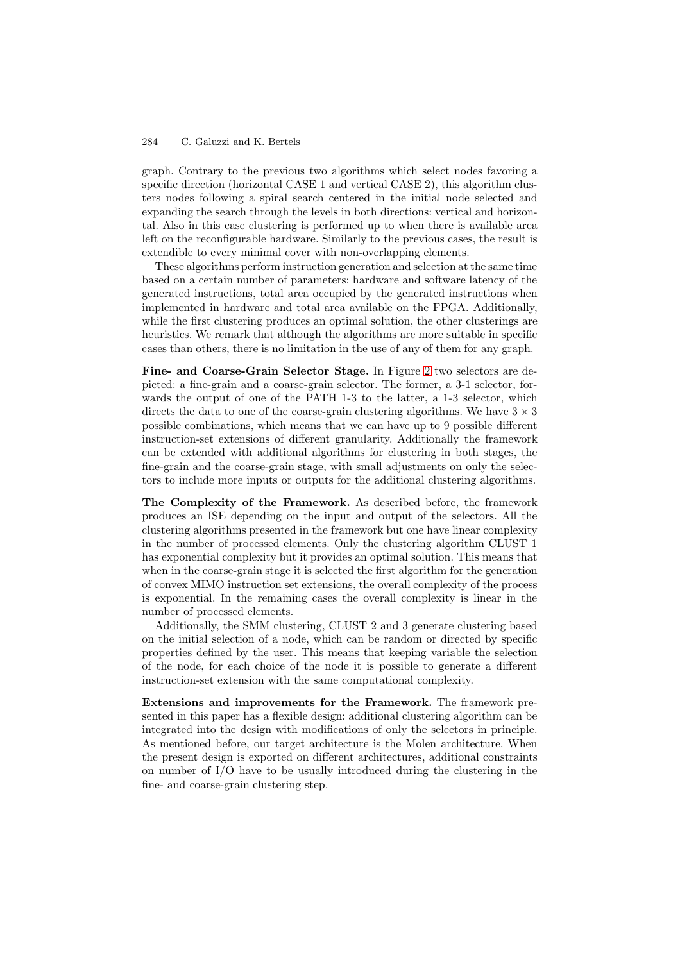#### 284 C. Galuzzi and K. Bertels

graph. Contrary to the previous two algorithms which select nodes favoring a specific direction (horizontal CASE 1 and vertical CASE 2), this algorithm clusters nodes following a spiral search centered in the initial node selected and expanding the search through the levels in both directions: vertical and horizontal. Also in this case clustering is performed up to when there is available area left on the reconfigurable hardware. Similarly to the previous cases, the result is extendible to every minimal cover with non-overlapping elements.

These algorithms perform instruction generation and selection at the same time based on a certain number of parameters: hardware and software latency of the generated instructions, total area occupied by the generated instructions when implemented in hardware and total area available on the FPGA. Additionally, while the first clustering produces an optimal solution, the other clusterings are heuristics. We remark that although the algorithms are more suitable in specific cases than others, there is no limitation in the use of any of them for any graph.

**Fine- and Coarse-Grain Selector Stage.** In Figure [2](#page-2-0) two selectors are depicted: a fine-grain and a coarse-grain selector. The former, a 3-1 selector, forwards the output of one of the PATH 1-3 to the latter, a 1-3 selector, which directs the data to one of the coarse-grain clustering algorithms. We have  $3 \times 3$ possible combinations, which means that we can have up to 9 possible different instruction-set extensions of different granularity. Additionally the framework can be extended with additional algorithms for clustering in both stages, the fine-grain and the coarse-grain stage, with small adjustments on only the selectors to include more inputs or outputs for the additional clustering algorithms.

**The Complexity of the Framework.** As described before, the framework produces an ISE depending on the input and output of the selectors. All the clustering algorithms presented in the framework but one have linear complexity in the number of processed elements. Only the clustering algorithm CLUST 1 has exponential complexity but it provides an optimal solution. This means that when in the coarse-grain stage it is selected the first algorithm for the generation of convex MIMO instruction set extensions, the overall complexity of the process is exponential. In the remaining cases the overall complexity is linear in the number of processed elements.

Additionally, the SMM clustering, CLUST 2 and 3 generate clustering based on the initial selection of a node, which can be random or directed by specific properties defined by the user. This means that keeping variable the selection of the node, for each choice of the node it is possible to generate a different instruction-set extension with the same computational complexity.

**Extensions and improvements for the Framework.** The framework presented in this paper has a flexible design: additional clustering algorithm can be integrated into the design with modifications of only the selectors in principle. As mentioned before, our target architecture is the Molen architecture. When the present design is exported on different architectures, additional constraints on number of I/O have to be usually introduced during the clustering in the fine- and coarse-grain clustering step.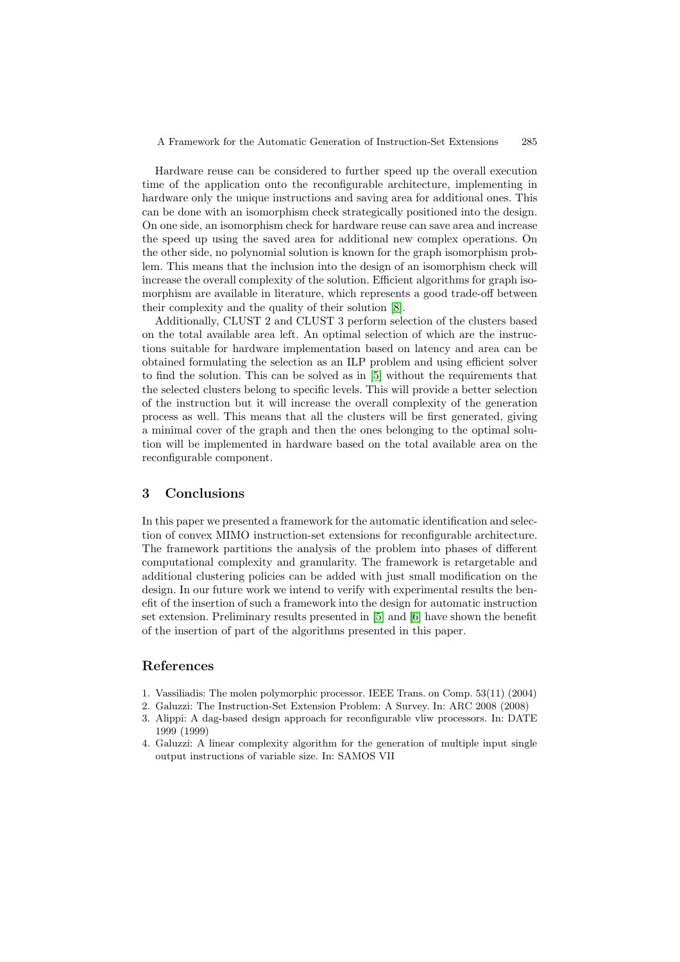Hardware reuse can be considered to further speed up the overall execution time of the application onto the reconfigurable architecture, implementing in hardware only the unique instructions and saving area for additional ones. This can be done with an isomorphism check strategically positioned into the design. On one side, an isomorphism check for hardware reuse can save area and increase the speed up using the saved area for additional new complex operations. On the other side, no polynomial solution is known for the graph isomorphism problem. This means that the inclusion into the design of an isomorphism check will increase the overall complexity of the solution. Efficient algorithms for graph isomorphism are available in literature, which represents a good trade-off between their complexity and the quality of their solution [\[8\]](#page-6-3).

Additionally, CLUST 2 and CLUST 3 perform selection of the clusters based on the total available area left. An optimal selection of which are the instructions suitable for hardware implementation based on latency and area can be obtained formulating the selection as an ILP problem and using efficient solver to find the solution. This can be solved as in [\[5\]](#page-6-0) without the requirements that the selected clusters belong to specific levels. This will provide a better selection of the instruction but it will increase the overall complexity of the generation process as well. This means that all the clusters will be first generated, giving a minimal cover of the graph and then the ones belonging to the optimal solution will be implemented in hardware based on the total available area on the reconfigurable component.

## <span id="page-5-3"></span>**3 Conclusions**

In this paper we presented a framework for the automatic identification and selection of convex MIMO instruction-set extensions for reconfigurable architecture. The framework partitions the analysis of the problem into phases of different computational complexity and granularity. The framework is retargetable and additional clustering policies can be added with just small modification on the design. In our future work we intend to verify with experimental results the benefit of the insertion of such a framework into the design for automatic instruction set extension. Preliminary results presented in [\[5\]](#page-6-0) and [\[6\]](#page-6-1) have shown the benefit of the insertion of part of the algorithms presented in this paper.

## <span id="page-5-2"></span><span id="page-5-1"></span>**References**

- 1. Vassiliadis: The molen polymorphic processor. IEEE Trans. on Comp. 53(11) (2004)
- <span id="page-5-5"></span><span id="page-5-0"></span>2. Galuzzi: The Instruction-Set Extension Problem: A Survey. In: ARC 2008 (2008)
- 3. Alippi: A dag-based design approach for reconfigurable vliw processors. In: DATE 1999 (1999)
- <span id="page-5-4"></span>4. Galuzzi: A linear complexity algorithm for the generation of multiple input single output instructions of variable size. In: SAMOS VII